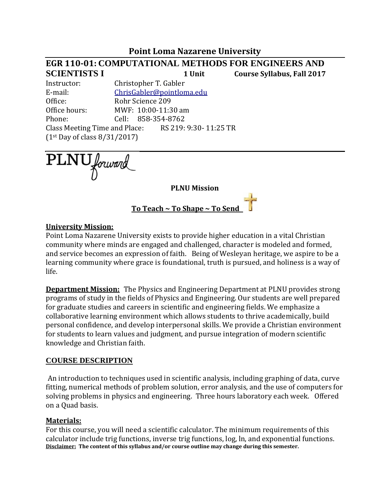## **Point Loma Nazarene University**

# **EGR 110-01: COMPUTATIONAL METHODS FOR ENGINEERS AND SCIENTISTS I 1 Unit Course Syllabus, Fall 2017** Instructor: Christopher T. Gabler E-mail: [ChrisGabler@pointloma.edu](mailto:ChrisGabler@pointloma.edu) Office: Rohr Science 209 Office hours: MWF: 10:00-11:30 am Phone: Cell: 858-354-8762 Class Meeting Time and Place: RS 219: 9:30- 11:25 TR (1st Day of class 8/31/2017)

PLNU forward

**PLNU Mission**

**To Teach ~ To Shape ~ To Send** 

#### **University Mission:**

Point Loma Nazarene University exists to provide higher education in a vital Christian community where minds are engaged and challenged, character is modeled and formed, and service becomes an expression of faith. Being of Wesleyan heritage, we aspire to be a learning community where grace is foundational, truth is pursued, and holiness is a way of life.

**Department Mission:** The Physics and Engineering Department at PLNU provides strong programs of study in the fields of Physics and Engineering. Our students are well prepared for graduate studies and careers in scientific and engineering fields. We emphasize a collaborative learning environment which allows students to thrive academically, build personal confidence, and develop interpersonal skills. We provide a Christian environment for students to learn values and judgment, and pursue integration of modern scientific knowledge and Christian faith.

#### **COURSE DESCRIPTION**

An introduction to techniques used in scientific analysis, including graphing of data, curve fitting, numerical methods of problem solution, error analysis, and the use of computers for solving problems in physics and engineering. Three hours laboratory each week. Offered on a Quad basis.

#### **Materials:**

For this course, you will need a scientific calculator. The minimum requirements of this calculator include trig functions, inverse trig functions, log, ln, and exponential functions. **Disclaimer: The content of this syllabus and/or course outline may change during this semester.**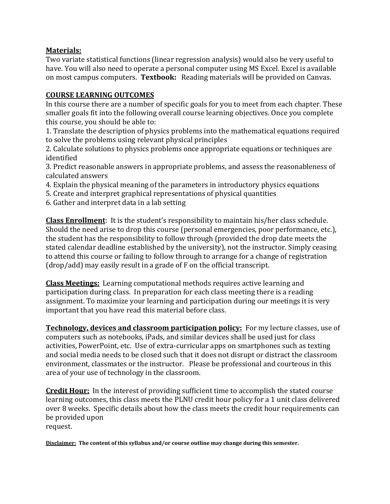### **Materials:**

Two variate statistical functions (linear regression analysis) would also be very useful to have. You will also need to operate a personal computer using MS Excel. Excel is available on most campus computers. **Textbook:** Reading materials will be provided on Canvas.

### **COURSE LEARNING OUTCOMES**

In this course there are a number of specific goals for you to meet from each chapter. These smaller goals fit into the following overall course learning objectives. Once you complete this course, you should be able to:

1. Translate the description of physics problems into the mathematical equations required to solve the problems using relevant physical principles

2. Calculate solutions to physics problems once appropriate equations or techniques are identified

3. Predict reasonable answers in appropriate problems, and assess the reasonableness of calculated answers

- 4. Explain the physical meaning of the parameters in introductory physics equations
- 5. Create and interpret graphical representations of physical quantities
- 6. Gather and interpret data in a lab setting

**Class Enrollment**: It is the student's responsibility to maintain his/her class schedule. Should the need arise to drop this course (personal emergencies, poor performance, etc.), the student has the responsibility to follow through (provided the drop date meets the stated calendar deadline established by the university), not the instructor. Simply ceasing to attend this course or failing to follow through to arrange for a change of registration (drop/add) may easily result in a grade of F on the official transcript.

**Class Meetings:** Learning computational methods requires active learning and participation during class. In preparation for each class meeting there is a reading assignment. To maximize your learning and participation during our meetings it is very important that you have read this material before class.

**Technology, devices and classroom participation policy:** For my lecture classes, use of computers such as notebooks, iPads, and similar devices shall be used just for class activities, PowerPoint, etc. Use of extra-curricular apps on smartphones such as texting and social media needs to be closed such that it does not disrupt or distract the classroom environment, classmates or the instructor. Please be professional and courteous in this area of your use of technology in the classroom.

**Credit Hour:** In the interest of providing sufficient time to accomplish the stated course learning outcomes, this class meets the PLNU credit hour policy for a 1 unit class delivered over 8 weeks. Specific details about how the class meets the credit hour requirements can be provided upon request.

**Disclaimer: The content of this syllabus and/or course outline may change during this semester.**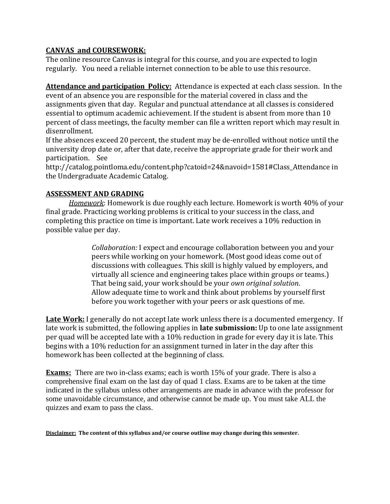## **CANVAS and COURSEWORK:**

The online resource Canvas is integral for this course, and you are expected to login regularly. You need a reliable internet connection to be able to use this resource.

**Attendance and participation Policy:** Attendance is expected at each class session. In the event of an absence you are responsible for the material covered in class and the assignments given that day. Regular and punctual attendance at all classes is considered essential to optimum academic achievement. If the student is absent from more than 10 percent of class meetings, the faculty member can file a written report which may result in disenrollment.

If the absences exceed 20 percent, the student may be de-enrolled without notice until the university drop date or, after that date, receive the appropriate grade for their work and participation. See

http://catalog.pointloma.edu/content.php?catoid=24&navoid=1581#Class\_Attendance in the Undergraduate Academic Catalog.

### **ASSESSMENT AND GRADING**

*Homework*: Homework is due roughly each lecture. Homework is worth 40% of your final grade. Practicing working problems is critical to your success in the class, and completing this practice on time is important. Late work receives a 10% reduction in possible value per day.

> *Collaboration:* I expect and encourage collaboration between you and your peers while working on your homework. (Most good ideas come out of discussions with colleagues. This skill is highly valued by employers, and virtually all science and engineering takes place within groups or teams.) That being said, your work should be your *own original solution*. Allow adequate time to work and think about problems by yourself first before you work together with your peers or ask questions of me.

**Late Work:** I generally do not accept late work unless there is a documented emergency. If late work is submitted, the following applies in **late submission:** Up to one late assignment per quad will be accepted late with a 10% reduction in grade for every day it is late. This begins with a 10% reduction for an assignment turned in later in the day after this homework has been collected at the beginning of class.

**Exams**: There are two in-class exams; each is worth 15% of your grade. There is also a comprehensive final exam on the last day of quad 1 class. Exams are to be taken at the time indicated in the syllabus unless other arrangements are made in advance with the professor for some unavoidable circumstance, and otherwise cannot be made up. You must take ALL the quizzes and exam to pass the class.

**Disclaimer: The content of this syllabus and/or course outline may change during this semester.**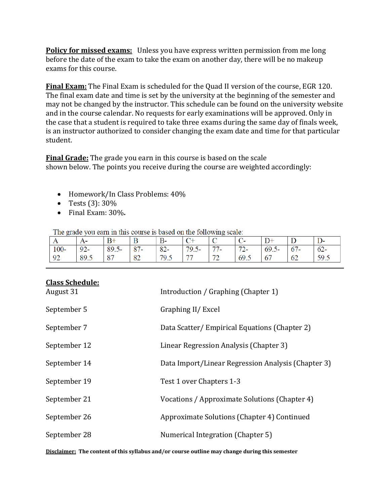**Policy for missed exams:** Unless you have express written permission from me long before the date of the exam to take the exam on another day, there will be no makeup exams for this course.

**Final Exam:** The Final Exam is scheduled for the Quad II version of the course, EGR 120. The final exam date and time is set by the university at the beginning of the semester and may not be changed by the instructor. This schedule can be found on the university website and in the course calendar. No requests for early examinations will be approved. Only in the case that a student is required to take three exams during the same day of finals week, is an instructor authorized to consider changing the exam date and time for that particular student.

**Final Grade:** The grade you earn in this course is based on the scale shown below. The points you receive during the course are weighted accordingly:

- Homework/In Class Problems: 40%
- Tests  $(3)$ : 30%
- Final Exam: 30%**.**

The grade you earn in this course is based on the following scale:

| A      | 1 Y    | $B+$     | B      | В-     |          |                                | ั     | $D+$     |        | ມ∹     |
|--------|--------|----------|--------|--------|----------|--------------------------------|-------|----------|--------|--------|
| $100-$ | $92 -$ | $89.5 -$ | $87 -$ | $82 -$ | $79.5 -$ | 77<br>$\overline{\phantom{a}}$ | $72-$ | $69.5 -$ | $67 -$ | $62 -$ |
| 92     | 89.5   | 87       | 82     | 79.5   | 77       | 70<br>. .                      | 69.5  | 67       | 62     | 59.5   |

| <u>Ciass Scheuule.</u><br>August 31 | Introduction / Graphing (Chapter 1)                |
|-------------------------------------|----------------------------------------------------|
| September 5                         | Graphing II/ Excel                                 |
| September 7                         | Data Scatter/Empirical Equations (Chapter 2)       |
| September 12                        | Linear Regression Analysis (Chapter 3)             |
| September 14                        | Data Import/Linear Regression Analysis (Chapter 3) |
| September 19                        | Test 1 over Chapters 1-3                           |
| September 21                        | Vocations / Approximate Solutions (Chapter 4)      |
| September 26                        | Approximate Solutions (Chapter 4) Continued        |
| September 28                        | Numerical Integration (Chapter 5)                  |

# **Class Schedule:**

**Disclaimer: The content of this syllabus and/or course outline may change during this semester**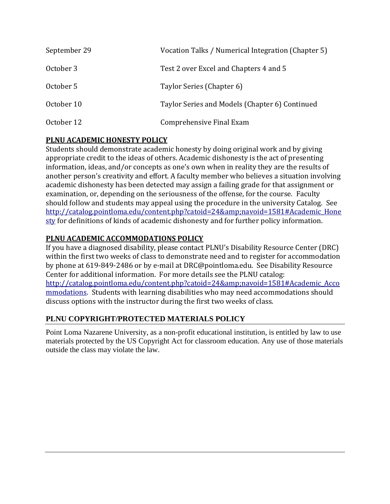| September 29 | Vocation Talks / Numerical Integration (Chapter 5) |
|--------------|----------------------------------------------------|
| October 3    | Test 2 over Excel and Chapters 4 and 5             |
| October 5    | Taylor Series (Chapter 6)                          |
| October 10   | Taylor Series and Models (Chapter 6) Continued     |
| October 12   | Comprehensive Final Exam                           |

# **PLNU ACADEMIC HONESTY POLICY**

Students should demonstrate academic honesty by doing original work and by giving appropriate credit to the ideas of others. Academic dishonesty is the act of presenting information, ideas, and/or concepts as one's own when in reality they are the results of another person's creativity and effort. A faculty member who believes a situation involving academic dishonesty has been detected may assign a failing grade for that assignment or examination, or, depending on the seriousness of the offense, for the course. Faculty should follow and students may appeal using the procedure in the university Catalog. See [http://catalog.pointloma.edu/content.php?catoid=24&navoid=1581#Academic\\_Hone](http://catalog.pointloma.edu/content.php?catoid=24&navoid=1581#Academic_Honesty) [sty](http://catalog.pointloma.edu/content.php?catoid=24&navoid=1581#Academic_Honesty) for definitions of kinds of academic dishonesty and for further policy information.

## **PLNU ACADEMIC ACCOMMODATIONS POLICY**

If you have a diagnosed disability, please contact PLNU's Disability Resource Center (DRC) within the first two weeks of class to demonstrate need and to register for accommodation by phone at 619-849-2486 or by e-mail at DRC@pointloma.edu. See Disability Resource Center for additional information. For more details see the PLNU catalog: [http://catalog.pointloma.edu/content.php?catoid=24&navoid=1581#Academic\\_Acco](http://catalog.pointloma.edu/content.php?catoid=24&navoid=1581#Academic_Accommodations) [mmodations.](http://catalog.pointloma.edu/content.php?catoid=24&navoid=1581#Academic_Accommodations) Students with learning disabilities who may need accommodations should discuss options with the instructor during the first two weeks of class.

## **PLNU COPYRIGHT/PROTECTED MATERIALS POLICY**

Point Loma Nazarene University, as a non-profit educational institution, is entitled by law to use materials protected by the US Copyright Act for classroom education. Any use of those materials outside the class may violate the law.